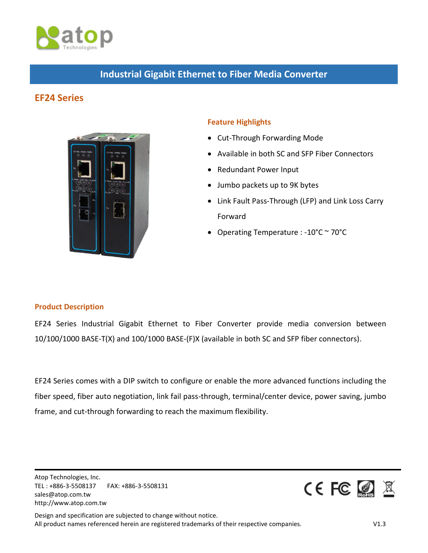

# **Industrial Gigabit Ethernet to Fiber Media Converter**

# **EF24 Series**



## **Feature Highlights**

- Cut-Through Forwarding Mode
- Available in both SC and SFP Fiber Connectors
- Redundant Power Input
- Jumbo packets up to 9K bytes
- Link Fault Pass-Through (LFP) and Link Loss Carry Forward
- Operating Temperature : -10°C ~ 70°C

### **Product Description**

EF24 Series Industrial Gigabit Ethernet to Fiber Converter provide media conversion between 10/100/1000 BASE-T(X) and 100/1000 BASE-(F)X (available in both SC and SFP fiber connectors).

EF24 Series comes with a DIP switch to configure or enable the more advanced functions including the fiber speed, fiber auto negotiation, link fail pass-through, terminal/center device, power saving, jumbo frame, and cut-through forwarding to reach the maximum flexibility.

Atop Technologies, Inc. TEL : +886-3-5508137 FAX: +886-3-5508131 sales@atop.com.tw http://www.atop.com.tw

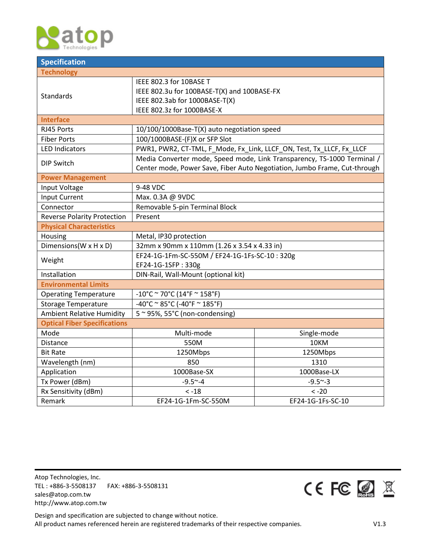

| <b>Specification</b>                |                                                                           |                   |  |  |  |
|-------------------------------------|---------------------------------------------------------------------------|-------------------|--|--|--|
| <b>Technology</b>                   |                                                                           |                   |  |  |  |
|                                     | IEEE 802.3 for 10BASE T                                                   |                   |  |  |  |
| Standards                           | IEEE 802.3u for 100BASE-T(X) and 100BASE-FX                               |                   |  |  |  |
|                                     | IEEE 802.3ab for 1000BASE-T(X)                                            |                   |  |  |  |
|                                     | IEEE 802.3z for 1000BASE-X                                                |                   |  |  |  |
| <b>Interface</b>                    |                                                                           |                   |  |  |  |
| RJ45 Ports                          | 10/100/1000Base-T(X) auto negotiation speed                               |                   |  |  |  |
| <b>Fiber Ports</b>                  | 100/1000BASE-(F)X or SFP Slot                                             |                   |  |  |  |
| <b>LED Indicators</b>               | PWR1, PWR2, CT-TML, F_Mode, Fx_Link, LLCF_ON, Test, Tx_LLCF, Fx_LLCF      |                   |  |  |  |
|                                     | Media Converter mode, Speed mode, Link Transparency, TS-1000 Terminal /   |                   |  |  |  |
| <b>DIP Switch</b>                   | Center mode, Power Save, Fiber Auto Negotiation, Jumbo Frame, Cut-through |                   |  |  |  |
| <b>Power Management</b>             |                                                                           |                   |  |  |  |
| Input Voltage                       | 9-48 VDC                                                                  |                   |  |  |  |
| <b>Input Current</b>                | Max. 0.3A @ 9VDC                                                          |                   |  |  |  |
| Connector                           | Removable 5-pin Terminal Block                                            |                   |  |  |  |
| <b>Reverse Polarity Protection</b>  | Present                                                                   |                   |  |  |  |
| <b>Physical Characteristics</b>     |                                                                           |                   |  |  |  |
| Housing                             | Metal, IP30 protection                                                    |                   |  |  |  |
| Dimensions (W x H x D)              | 32mm x 90mm x 110mm (1.26 x 3.54 x 4.33 in)                               |                   |  |  |  |
|                                     | EF24-1G-1Fm-SC-550M / EF24-1G-1Fs-SC-10:320g                              |                   |  |  |  |
| Weight                              | EF24-1G-1SFP: 330g                                                        |                   |  |  |  |
| Installation                        | DIN-Rail, Wall-Mount (optional kit)                                       |                   |  |  |  |
| <b>Environmental Limits</b>         |                                                                           |                   |  |  |  |
| <b>Operating Temperature</b>        | $-10^{\circ}$ C ~ 70°C (14°F ~ 158°F)                                     |                   |  |  |  |
| <b>Storage Temperature</b>          | $-40^{\circ}$ C ~ 85°C (-40°F ~ 185°F)                                    |                   |  |  |  |
| <b>Ambient Relative Humidity</b>    | 5~95%, 55°C (non-condensing)                                              |                   |  |  |  |
| <b>Optical Fiber Specifications</b> |                                                                           |                   |  |  |  |
| Mode                                | Multi-mode<br>Single-mode                                                 |                   |  |  |  |
| <b>Distance</b>                     | 550M                                                                      | 10KM              |  |  |  |
| <b>Bit Rate</b>                     | 1250Mbps                                                                  | 1250Mbps          |  |  |  |
| Wavelength (nm)                     | 850<br>1310                                                               |                   |  |  |  |
| Application                         | 1000Base-SX<br>1000Base-LX                                                |                   |  |  |  |
| Tx Power (dBm)                      | $-9.5 - 4$                                                                | $-9.5 - 3$        |  |  |  |
| Rx Sensitivity (dBm)                | $< -18$<br>$< -20$                                                        |                   |  |  |  |
| Remark                              | EF24-1G-1Fm-SC-550M                                                       | EF24-1G-1Fs-SC-10 |  |  |  |

Atop Technologies, Inc. TEL : +886-3-5508137 FAX: +886-3-5508131 sales@atop.com.tw http://www.atop.com.tw

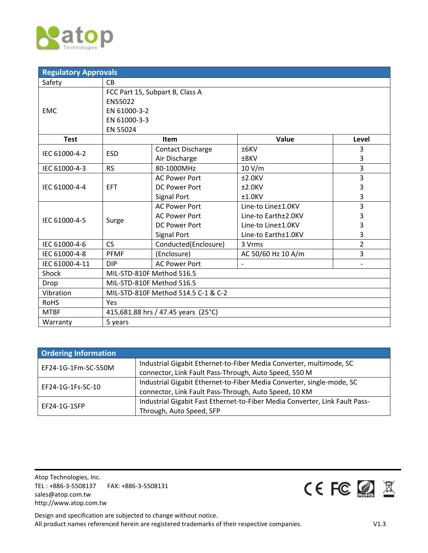

| <b>Regulatory Approvals</b> |                                     |                          |                     |                          |  |
|-----------------------------|-------------------------------------|--------------------------|---------------------|--------------------------|--|
| Safety                      | <b>CB</b>                           |                          |                     |                          |  |
|                             | FCC Part 15, Subpart B, Class A     |                          |                     |                          |  |
|                             | EN55022                             |                          |                     |                          |  |
| <b>EMC</b>                  | EN 61000-3-2                        |                          |                     |                          |  |
|                             | EN 61000-3-3                        |                          |                     |                          |  |
|                             | EN 55024                            |                          |                     |                          |  |
| <b>Test</b>                 |                                     | Item                     | Value               | Level                    |  |
| IEC 61000-4-2               | <b>ESD</b>                          | <b>Contact Discharge</b> | $±6$ KV             | 3                        |  |
|                             |                                     | Air Discharge            | ±8KV                | 3                        |  |
| IEC 61000-4-3               | <b>RS</b>                           | 80-1000MHz               | 10 V/m              | 3                        |  |
|                             | <b>EFT</b>                          | <b>AC Power Port</b>     | $±2.0$ KV           | 3                        |  |
| IEC 61000-4-4               |                                     | <b>DC Power Port</b>     | $±2.0$ KV           | 3                        |  |
|                             |                                     | Signal Port              | $±1.0$ KV           | 3                        |  |
| IEC 61000-4-5               | Surge                               | <b>AC Power Port</b>     | Line-to Line±1.0KV  | $\overline{3}$           |  |
|                             |                                     | <b>AC Power Port</b>     | Line-to Earth±2.0KV | 3                        |  |
|                             |                                     | <b>DC Power Port</b>     | Line-to Line±1.0KV  | 3                        |  |
|                             |                                     | Signal Port              | Line-to Earth±1.0KV | 3                        |  |
| IEC 61000-4-6               | <b>CS</b>                           | Conducted(Enclosure)     | 3 Vrms              | 2                        |  |
| IEC 61000-4-8               | <b>PFMF</b>                         | (Enclosure)              | AC 50/60 Hz 10 A/m  | 3                        |  |
| IEC 61000-4-11              | <b>DIP</b>                          | <b>AC Power Port</b>     |                     | $\overline{\phantom{a}}$ |  |
| Shock                       | MIL-STD-810F Method 516.5           |                          |                     |                          |  |
| Drop                        | MIL-STD-810F Method 516.5           |                          |                     |                          |  |
| Vibration                   | MIL-STD-810F Method 514.5 C-1 & C-2 |                          |                     |                          |  |
| <b>RoHS</b>                 | Yes                                 |                          |                     |                          |  |
| <b>MTBF</b>                 | 415,681.88 hrs / 47.45 years (25°C) |                          |                     |                          |  |
| Warranty                    | 5 years                             |                          |                     |                          |  |

| <b>Ordering Information</b> |                                                                             |  |
|-----------------------------|-----------------------------------------------------------------------------|--|
| EF24-1G-1Fm-SC-550M         | Industrial Gigabit Ethernet-to-Fiber Media Converter, multimode, SC         |  |
|                             | connector, Link Fault Pass-Through, Auto Speed, 550 M                       |  |
| EF24-1G-1Fs-SC-10           | Industrial Gigabit Ethernet-to-Fiber Media Converter, single-mode, SC       |  |
|                             | connector, Link Fault Pass-Through, Auto Speed, 10 KM                       |  |
| EF24-1G-1SFP                | Industrial Gigabit Fast Ethernet-to-Fiber Media Converter, Link Fault Pass- |  |
|                             | Through, Auto Speed, SFP                                                    |  |

Atop Technologies, Inc. TEL : +886-3-5508137 FAX: +886-3-5508131 sales@atop.com.tw http://www.atop.com.tw